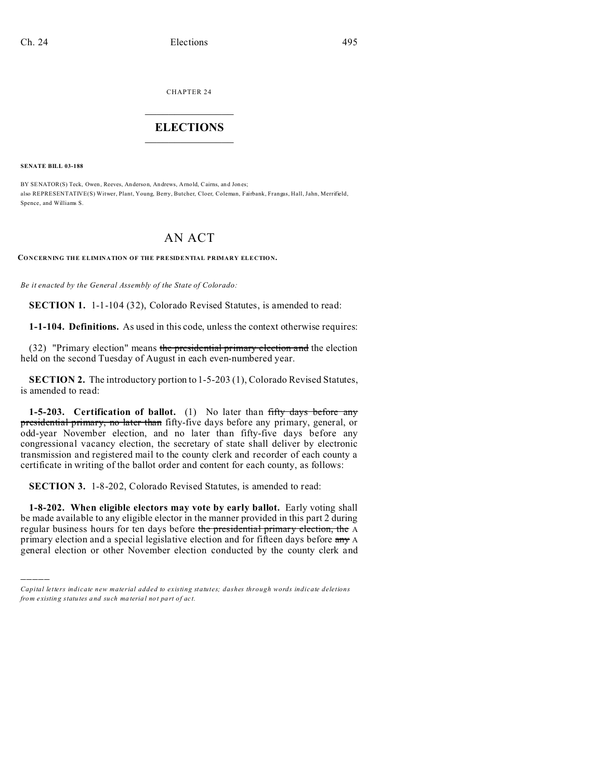CHAPTER 24

## $\overline{\phantom{a}}$  , where  $\overline{\phantom{a}}$ **ELECTIONS**  $\_$

**SENATE BILL 03-188**

)))))

BY SENATOR(S) Teck, Owen, Reeves, Anderson, Andrews, Arnold, Cairns, and Jones; also REPRESENTATIVE(S) Witwer, Plant, Young, Berry, Butcher, Cloer, Coleman, Fairbank, Frangas, Hall, Jahn, Merrifield, Spence, and Williams S.

## AN ACT

**CONCERNING THE ELIMINATION OF THE PRESIDENTIAL PRIMARY ELECTION.**

*Be it enacted by the General Assembly of the State of Colorado:*

**SECTION 1.** 1-1-104 (32), Colorado Revised Statutes, is amended to read:

**1-1-104. Definitions.** As used in this code, unless the context otherwise requires:

(32) "Primary election" means the presidential primary election and the election held on the second Tuesday of August in each even-numbered year.

**SECTION 2.** The introductory portion to 1-5-203 (1), Colorado Revised Statutes, is amended to read:

1-5-203. Certification of ballot. (1) No later than fifty days before any presidential primary, no later than fifty-five days before any primary, general, or odd-year November election, and no later than fifty-five days before any congressional vacancy election, the secretary of state shall deliver by electronic transmission and registered mail to the county clerk and recorder of each county a certificate in writing of the ballot order and content for each county, as follows:

**SECTION 3.** 1-8-202, Colorado Revised Statutes, is amended to read:

**1-8-202. When eligible electors may vote by early ballot.** Early voting shall be made available to any eligible elector in the manner provided in this part 2 during regular business hours for ten days before the presidential primary election, the A primary election and a special legislative election and for fifteen days before any A general election or other November election conducted by the county clerk and

*Capital letters indicate new material added to existing statutes; dashes through words indicate deletions from e xistin g statu tes a nd such ma teria l no t pa rt of ac t.*